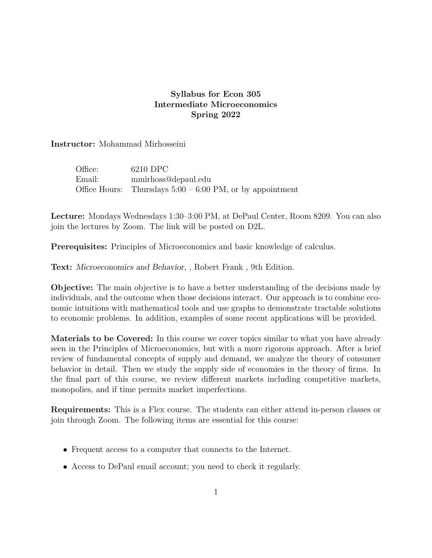## Syllabus for Econ 305 Intermediate Microeconomics Spring 2022

Instructor: Mohammad Mirhosseini

| Office: | 6210 DPC                                                    |
|---------|-------------------------------------------------------------|
| Email:  | mmirhoss@depaul.edu                                         |
|         | Office Hours: Thursdays $5:00 - 6:00$ PM, or by appointment |

Lecture: Mondays Wednesdays 1:30–3:00 PM, at DePaul Center, Room 8209. You can also join the lectures by Zoom. The link will be posted on D2L.

Prerequisites: Principles of Microeconomics and basic knowledge of calculus.

Text: Microeconomics and Behavior, , Robert Frank , 9th Edition.

Objective: The main objective is to have a better understanding of the decisions made by individuals, and the outcome when those decisions interact. Our approach is to combine economic intuitions with mathematical tools and use graphs to demonstrate tractable solutions to economic problems. In addition, examples of some recent applications will be provided.

Materials to be Covered: In this course we cover topics similar to what you have already seen in the Principles of Microeconomics, but with a more rigorous approach. After a brief review of fundamental concepts of supply and demand, we analyze the theory of consumer behavior in detail. Then we study the supply side of economies in the theory of firms. In the final part of this course, we review different markets including competitive markets, monopolies, and if time permits market imperfections.

Requirements: This is a Flex course. The students can either attend in-person classes or join through Zoom. The following items are essential for this course:

- Frequent access to a computer that connects to the Internet.
- Access to DePaul email account; you need to check it regularly.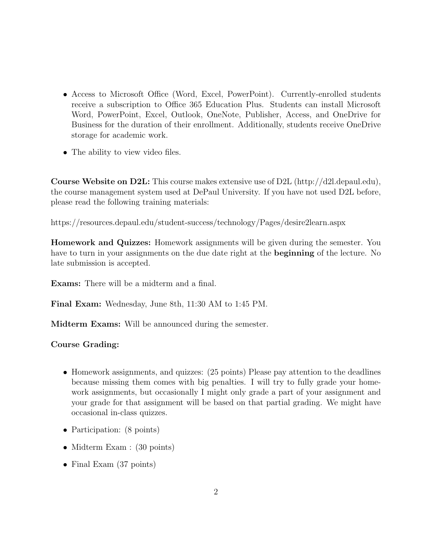- Access to Microsoft Office (Word, Excel, PowerPoint). Currently-enrolled students receive a subscription to Office 365 Education Plus. Students can install Microsoft Word, PowerPoint, Excel, Outlook, OneNote, Publisher, Access, and OneDrive for Business for the duration of their enrollment. Additionally, students receive OneDrive storage for academic work.
- The ability to view video files.

**Course Website on D2L:** This course makes extensive use of D2L (http://d2l.depaul.edu), the course management system used at DePaul University. If you have not used D2L before, please read the following training materials:

https://resources.depaul.edu/student-success/technology/Pages/desire2learn.aspx

Homework and Quizzes: Homework assignments will be given during the semester. You have to turn in your assignments on the due date right at the **beginning** of the lecture. No late submission is accepted.

Exams: There will be a midterm and a final.

Final Exam: Wednesday, June 8th, 11:30 AM to 1:45 PM.

Midterm Exams: Will be announced during the semester.

## Course Grading:

- Homework assignments, and quizzes: (25 points) Please pay attention to the deadlines because missing them comes with big penalties. I will try to fully grade your homework assignments, but occasionally I might only grade a part of your assignment and your grade for that assignment will be based on that partial grading. We might have occasional in-class quizzes.
- Participation: (8 points)
- Midterm Exam : (30 points)
- Final Exam (37 points)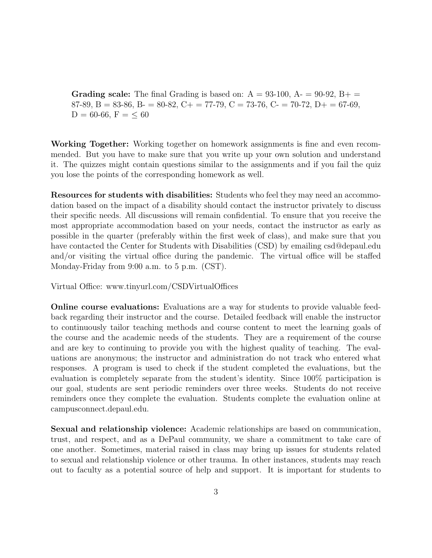**Grading scale:** The final Grading is based on:  $A = 93{\text -}100$ ,  $A = 90{\text -}92$ ,  $B + \equiv$ 87-89, B = 83-86, B = 80-82, C + = 77-79, C = 73-76, C = 70-72, D + = 67-69,  $D = 60-66, F = \leq 60$ 

Working Together: Working together on homework assignments is fine and even recommended. But you have to make sure that you write up your own solution and understand it. The quizzes might contain questions similar to the assignments and if you fail the quiz you lose the points of the corresponding homework as well.

Resources for students with disabilities: Students who feel they may need an accommodation based on the impact of a disability should contact the instructor privately to discuss their specific needs. All discussions will remain confidential. To ensure that you receive the most appropriate accommodation based on your needs, contact the instructor as early as possible in the quarter (preferably within the first week of class), and make sure that you have contacted the Center for Students with Disabilities (CSD) by emailing csd@depaul.edu and/or visiting the virtual office during the pandemic. The virtual office will be staffed Monday-Friday from 9:00 a.m. to 5 p.m. (CST).

Virtual Office: www.tinyurl.com/CSDVirtualOffices

Online course evaluations: Evaluations are a way for students to provide valuable feedback regarding their instructor and the course. Detailed feedback will enable the instructor to continuously tailor teaching methods and course content to meet the learning goals of the course and the academic needs of the students. They are a requirement of the course and are key to continuing to provide you with the highest quality of teaching. The evaluations are anonymous; the instructor and administration do not track who entered what responses. A program is used to check if the student completed the evaluations, but the evaluation is completely separate from the student's identity. Since 100% participation is our goal, students are sent periodic reminders over three weeks. Students do not receive reminders once they complete the evaluation. Students complete the evaluation online at campusconnect.depaul.edu.

Sexual and relationship violence: Academic relationships are based on communication, trust, and respect, and as a DePaul community, we share a commitment to take care of one another. Sometimes, material raised in class may bring up issues for students related to sexual and relationship violence or other trauma. In other instances, students may reach out to faculty as a potential source of help and support. It is important for students to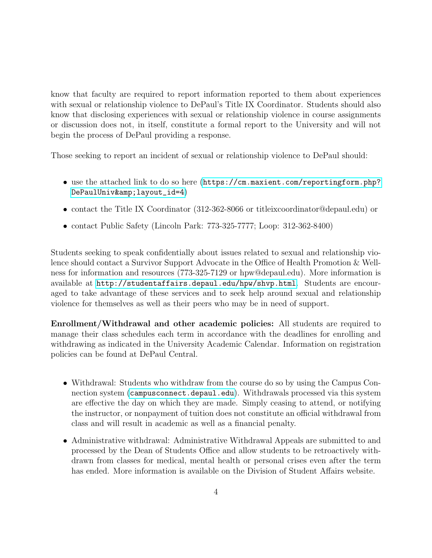know that faculty are required to report information reported to them about experiences with sexual or relationship violence to DePaul's Title IX Coordinator. Students should also know that disclosing experiences with sexual or relationship violence in course assignments or discussion does not, in itself, constitute a formal report to the University and will not begin the process of DePaul providing a response.

Those seeking to report an incident of sexual or relationship violence to DePaul should:

- use the attached link to do so here ([https://cm.maxient.com/reportingform.php?](https://cm.maxient.com/reportingform.php?DePaulUniv&layout_id=4 ) DePaulUniv& layout\_id=4)
- contact the Title IX Coordinator (312-362-8066 or titleixcoordinator@depaul.edu) or
- contact Public Safety (Lincoln Park: 773-325-7777; Loop: 312-362-8400)

Students seeking to speak confidentially about issues related to sexual and relationship violence should contact a Survivor Support Advocate in the Office of Health Promotion & Wellness for information and resources (773-325-7129 or hpw@depaul.edu). More information is available at <http://studentaffairs.depaul.edu/hpw/shvp.html>. Students are encouraged to take advantage of these services and to seek help around sexual and relationship violence for themselves as well as their peers who may be in need of support.

Enrollment/Withdrawal and other academic policies: All students are required to manage their class schedules each term in accordance with the deadlines for enrolling and withdrawing as indicated in the University Academic Calendar. Information on registration policies can be found at DePaul Central.

- Withdrawal: Students who withdraw from the course do so by using the Campus Connection system (<campusconnect.depaul.edu>). Withdrawals processed via this system are effective the day on which they are made. Simply ceasing to attend, or notifying the instructor, or nonpayment of tuition does not constitute an official withdrawal from class and will result in academic as well as a financial penalty.
- Administrative withdrawal: Administrative Withdrawal Appeals are submitted to and processed by the Dean of Students Office and allow students to be retroactively withdrawn from classes for medical, mental health or personal crises even after the term has ended. More information is available on the Division of Student Affairs website.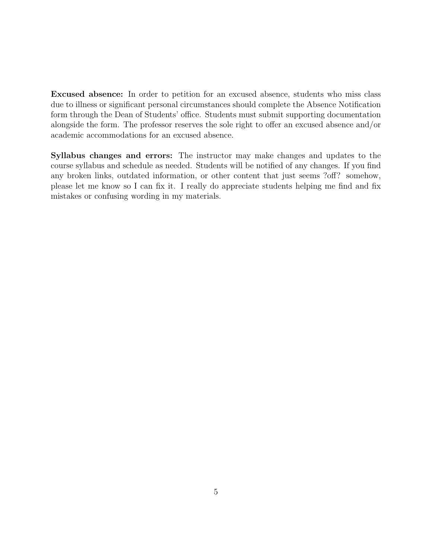Excused absence: In order to petition for an excused absence, students who miss class due to illness or significant personal circumstances should complete the Absence Notification form through the Dean of Students' office. Students must submit supporting documentation alongside the form. The professor reserves the sole right to offer an excused absence and/or academic accommodations for an excused absence.

Syllabus changes and errors: The instructor may make changes and updates to the course syllabus and schedule as needed. Students will be notified of any changes. If you find any broken links, outdated information, or other content that just seems ?off? somehow, please let me know so I can fix it. I really do appreciate students helping me find and fix mistakes or confusing wording in my materials.